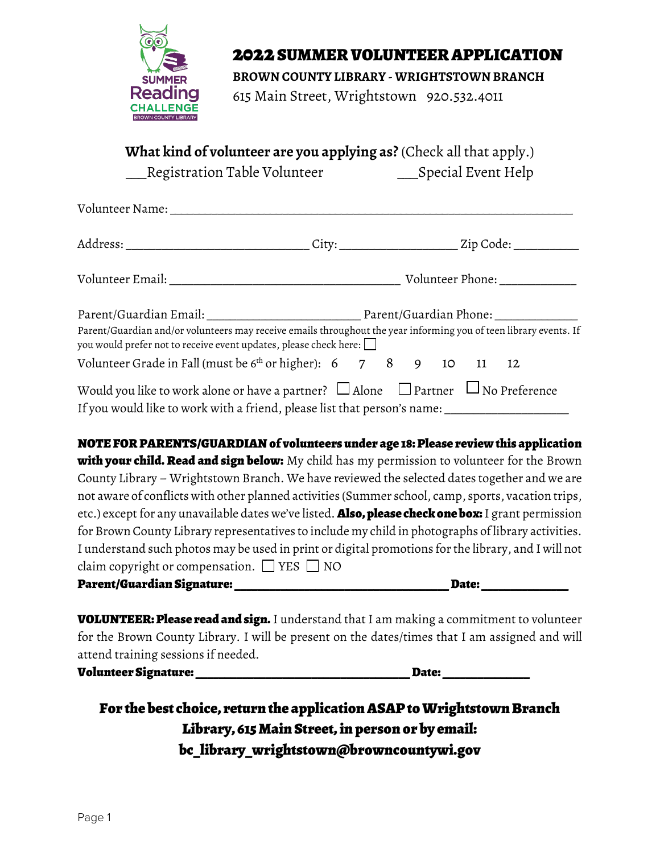

## 2022 SUMMER VOLUNTEER APPLICATION

**BROWN COUNTY LIBRARY - WRIGHTSTOWN BRANCH**

615 Main Street, Wrightstown 920.532.4011

**What kind of volunteer are you applying as?** (Check all that apply.)

\_\_\_Registration Table Volunteer \_\_\_Special Event Help

| Volunteer Name: Names                                                                                                                                                                                   |  |  |  |  |  |  |  |
|---------------------------------------------------------------------------------------------------------------------------------------------------------------------------------------------------------|--|--|--|--|--|--|--|
|                                                                                                                                                                                                         |  |  |  |  |  |  |  |
|                                                                                                                                                                                                         |  |  |  |  |  |  |  |
| Parent/Guardian and/or volunteers may receive emails throughout the year informing you of teen library events. If                                                                                       |  |  |  |  |  |  |  |
| you would prefer not to receive event updates, please check here: $\Box$<br>Volunteer Grade in Fall (must be $6th$ or higher): $6$ 7 8 9 10 11 12                                                       |  |  |  |  |  |  |  |
| Would you like to work alone or have a partner? $\Box$ Alone $\Box$ Partner $\Box$ No Preference<br>If you would like to work with a friend, please list that person's name: __________________________ |  |  |  |  |  |  |  |

NOTE FOR PARENTS/GUARDIAN of volunteers under age 18: Please review this application with your child. Read and sign below: My child has my permission to volunteer for the Brown County Library – Wrightstown Branch. We have reviewed the selected dates together and we are not aware of conflicts with other planned activities (Summer school, camp, sports, vacation trips, etc.) except for any unavailable dates we've listed. Also, please check one box: I grant permission for Brown County Library representatives to include my child in photographs of library activities. I understand such photos may be used in print or digital promotions for the library, and I will not claim copyright or compensation.  $\Box$  YES  $\Box$  NO Parent/Guardian Signature: \_\_\_\_\_\_\_\_\_\_\_\_\_\_\_\_\_\_\_\_\_\_\_\_\_\_\_\_\_\_\_\_\_\_\_\_\_ Date: \_\_\_\_\_\_\_\_\_\_\_\_\_\_\_

**VOLUNTEER: Please read and sign.** I understand that I am making a commitment to volunteer for the Brown County Library. I will be present on the dates/times that I am assigned and will attend training sessions if needed.

Volunteer Signature: \_\_\_\_\_\_\_\_\_\_\_\_\_\_\_\_\_\_\_\_\_\_\_\_\_\_\_\_\_\_\_\_\_\_\_\_\_ Date: \_\_\_\_\_\_\_\_\_\_\_\_\_\_\_

For the best choice, return the application ASAP to Wrightstown Branch Library, 615 Main Street, in person or by email: bc\_library\_wrightstown@browncountywi.gov